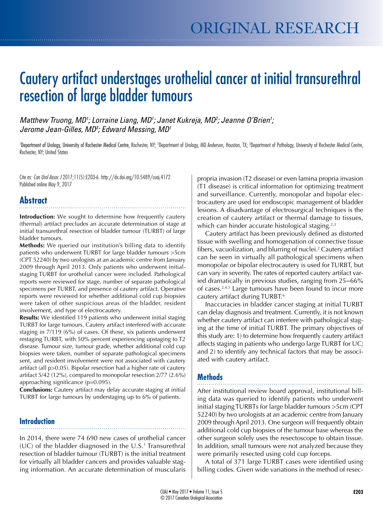# Cautery artifact understages urothelial cancer at initial transurethral resection of large bladder tumours

Matthew Truong, MD<sup>1</sup>; Lorraine Liang, MD<sup>1</sup>; Janet Kukreja, MD<sup>2</sup>; Jeanne O'Brien<sup>1</sup>; *Jerome Jean-Gilles, MD3 ; Edward Messing, MD1*

'Department of Urology, University of Rochester Medical Centre, Rochester, NY; <sup>2</sup>Department of Urology, MD Anderson, Houston, TX; <sup>3</sup>Department of Pathology, University of Rochester Medical Centre, Rochester, NY; United States

Cite as: *Can Urol Assoc J* 2017;11(5):E203-6. http://dx.doi.org/10.5489/cuaj.4172 Published online May 9, 2017

# **Abstract**

**Introduction:** We sought to determine how frequently cautery (thermal) artifact precludes an accurate determination of stage at initial transurethral resection of bladder tumour (TURBT) of large bladder tumours.

**Methods:** We queried our institution's billing data to identify patients who underwent TURBT for large bladder tumours >5cm (CPT 52240) by two urologists at an academic centre from January 2009 through April 2013. Only patients who underwent initialstaging TURBT for urothelial cancer were included. Pathological reports were reviewed for stage, number of separate pathological specimens per TURBT, and presence of cautery artifact. Operative reports were reviewed for whether additional cold cup biopsies were taken of other suspicious areas of the bladder, resident involvement, and type of electrocautery.

**Results:** We identified 119 patients who underwent initial staging TURBT for large tumours. Cautery artifact interfered with accurate staging in 7/119 (6%) of cases. Of these, six patients underwent restaging TURBT, with 50% percent experiencing upstaging to T2 disease. Tumour size, tumour grade, whether additional cold cup biopsies were taken, number of separate pathological specimens sent, and resident involvement were not associated with cautery artifact (all p>0.05). Bipolar resection had a higher rate of cautery artifact 5/42 (12%), compared to monopolar resection 2/77 (2.6%) approaching significance (p=0.095).

**Conclusions:** Cautery artifact may delay accurate staging at initial TURBT for large tumours by understaging up to 6% of patients.

### **Introduction**

In 2014, there were 74 690 new cases of urothelial cancer  $(UC)$  of the bladder diagnosed in the U.S.<sup>1</sup> Transurethral resection of bladder tumour (TURBT) is the initial treatment for virtually all bladder cancers and provides valuable staging information. An accurate determination of muscularis

propria invasion (T2 disease) or even lamina propria invasion (T1 disease) is critical information for optimizing treatment and surveillance. Currently, monopolar and bipolar electrocautery are used for endoscopic management of bladder lesions. A disadvantage of electrosurgical techniques is the creation of cautery artifact or thermal damage to tissues, which can hinder accurate histological staging. $2,3$ 

Cautery artifact has been previously defined as distorted tissue with swelling and homogenation of connective tissue fibers, vacuolization, and blurring of nuclei.2 Cautery artifact can be seen in virtually all pathological specimens when monopolar or bipolar electrocautery is used for TURBT, but can vary in severity. The rates of reported cautery artifact varied dramatically in previous studies, ranging from 25–66% of cases.2,4,5 Large tumours have been found to incur more cautery artifact during TURBT.6

Inaccuracies in bladder cancer staging at initial TURBT can delay diagnosis and treatment. Currently, it is not known whether cautery artifact can interfere with pathological staging at the time of initial TURBT. The primary objectives of this study are: 1) to determine how frequently cautery artifact affects staging in patients who undergo large TURBT for UC; and 2) to identify any technical factors that may be associated with cautery artifact.

## **Methods**

After institutional review board approval, institutional billing data was queried to identify patients who underwent initial staging TURBTs for large bladder tumours >5cm (CPT 52240) by two urologists at an academic centre from January 2009 through April 2013. One surgeon will frequently obtain additional cold cup biopsies of the tumour base whereas the other surgeon solely uses the resectoscope to obtain tissue. In addition, small tumours were not analyzed because they were primarily resected using cold cup forceps.

A total of 371 large TURBT cases were identified using billing codes. Given wide variations in the method of resec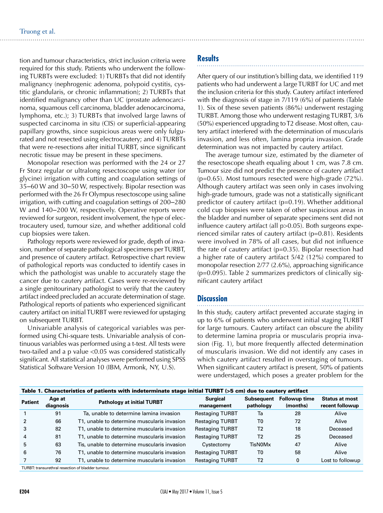tion and tumour characteristics, strict inclusion criteria were required for this study. Patients who underwent the following TURBTs were excluded: 1) TURBTs that did not identify malignancy (nephrogenic adenoma, polypoid cystitis, cystitic glandularis, or chronic inflammation); 2) TURBTs that identified malignancy other than UC (prostate adenocarcinoma, squamous cell carcinoma, bladder adenocarcinoma, lymphoma, etc.); 3) TURBTs that involved large lawns of suspected carcinoma in situ (CIS) or superficial-appearing papillary growths, since suspicious areas were only fulgurated and not resected using electrocautery; and 4) TURBTs that were re-resections after initial TURBT, since significant necrotic tissue may be present in these specimens.

Monopolar resection was performed with the 24 or 27 Fr Storz regular or ultralong resectoscope using water (or glycine) irrigation with cutting and coagulation settings of 35–60 W and 30–50 W, respectively. Bipolar resection was performed with the 26 Fr Olympus resectoscope using saline irrigation, with cutting and coagulation settings of 200–280 W and 140–200 W, respectively. Operative reports were reviewed for surgeon, resident involvement, the type of electrocautery used, tumour size, and whether additional cold cup biopsies were taken.

Pathology reports were reviewed for grade, depth of invasion, number of separate pathological specimens per TURBT, and presence of cautery artifact. Retrospective chart review of pathological reports was conducted to identify cases in which the pathologist was unable to accurately stage the cancer due to cautery artifact. Cases were re-reviewed by a single genitourinary pathologist to verify that the cautery artifact indeed precluded an accurate determination of stage. Pathological reports of patients who experienced significant cautery artifact on initial TURBT were reviewed for upstaging on subsequent TURBT.

Univariable analysis of categorical variables was performed using Chi-square tests. Univariable analysis of continuous variables was performed using a t-test. All tests were two-tailed and a p value <0.05 was considered statistically significant. All statistical analyses were performed using SPSS Statistical Software Version 10 (IBM, Armonk, NY, U.S).

# **Results**

After query of our institution's billing data, we identified 119 patients who had underwent a large TURBT for UC and met the inclusion criteria for this study. Cautery artifact interfered with the diagnosis of stage in 7/119 (6%) of patients (Table 1). Six of these seven patients (86%) underwent restaging TURBT. Among those who underwent restaging TURBT, 3/6 (50%) experienced upgrading to T2 disease. Most often, cautery artifact interfered with the determination of muscularis invasion, and less often, lamina propria invasion. Grade determination was not impacted by cautery artifact.

The average tumour size, estimated by the diameter of the resectoscope sheath equaling about 1 cm, was 7.8 cm. Tumour size did not predict the presence of cautery artifact  $(p=0.65)$ . Most tumours resected were high-grade  $(72\%)$ . Although cautery artifact was seen only in cases involving high-grade tumours, grade was not a statistically significant predictor of cautery artifact (p=0.19). Whether additional cold cup biopsies were taken of other suspicious areas in the bladder and number of separate specimens sent did not influence cautery artifact (all p>0.05). Both surgeons experienced similar rates of cautery artifact (p=0.81). Residents were involved in 78% of all cases, but did not influence the rate of cautery artifact  $(p=0.35)$ . Bipolar resection had a higher rate of cautery artifact 5/42 (12%) compared to monopolar resection 2/77 (2.6%), approaching significance (p=0.095). Table 2 summarizes predictors of clinically significant cautery artifact

#### **Discussion**

In this study, cautery artifact prevented accurate staging in up to 6% of patients who underwent initial staging TURBT for large tumours. Cautery artifact can obscure the ability to determine lamina propria or muscularis propria invasion (Fig. 1), but more frequently affected determination of muscularis invasion. We did not identify any cases in which cautery artifact resulted in overstaging of tumours. When significant cautery artifact is present, 50% of patients were understaged, which poses a greater problem for the

| Table 1. Characteristics of patients with indeterminate stage initial TURBT (>5 cm) due to cautery artifact |                     |                                              |                               |                                |                                  |                                          |  |  |  |
|-------------------------------------------------------------------------------------------------------------|---------------------|----------------------------------------------|-------------------------------|--------------------------------|----------------------------------|------------------------------------------|--|--|--|
| <b>Patient</b>                                                                                              | Age at<br>diagnosis | <b>Pathology at initial TURBT</b>            | <b>Surgical</b><br>management | <b>Subsequent</b><br>pathology | <b>Followup time</b><br>(months) | <b>Status at most</b><br>recent followup |  |  |  |
|                                                                                                             | 91                  | Ta, unable to determine lamina invasion      | <b>Restaging TURBT</b>        | Ta                             | 28                               | Alive                                    |  |  |  |
|                                                                                                             | 66                  | T1, unable to determine muscularis invasion  | <b>Restaging TURBT</b>        | T0                             | 72                               | Alive                                    |  |  |  |
|                                                                                                             | 82                  | T1, unable to determine muscularis invasion  | <b>Restaging TURBT</b>        | T2                             | 18                               | Deceased                                 |  |  |  |
| $\overline{4}$                                                                                              | 81                  | T1, unable to determine muscularis invasion  | <b>Restaging TURBT</b>        | T2                             | 25                               | Deceased                                 |  |  |  |
| 5.                                                                                                          | 63                  | Tis, unable to determine muscularis invasion | Cystectomy                    | TisN0Mx                        | 47                               | Alive                                    |  |  |  |
| 6                                                                                                           | 76                  | T1, unable to determine muscularis invasion  | <b>Restaging TURBT</b>        | T0                             | 58                               | Alive                                    |  |  |  |
|                                                                                                             | 92                  | T1, unable to determine muscularis invasion  | <b>Restaging TURBT</b>        | T <sub>2</sub>                 | 0                                | Lost to followup                         |  |  |  |
|                                                                                                             |                     |                                              |                               |                                |                                  |                                          |  |  |  |

TURBT: transurethral resection of bladder tumour.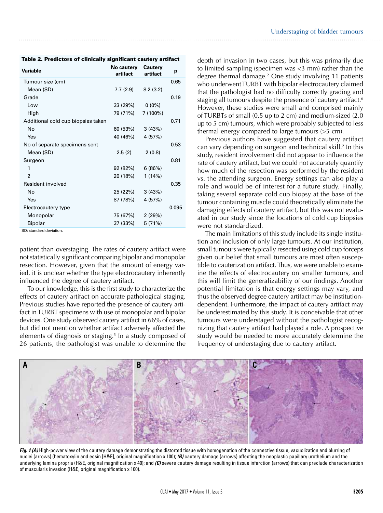| Table 2. Predictors of clinically significant cautery artifact |                        |                            |       |  |  |  |
|----------------------------------------------------------------|------------------------|----------------------------|-------|--|--|--|
| <b>Variable</b>                                                | No cautery<br>artifact | <b>Cautery</b><br>artifact | p     |  |  |  |
| Tumour size (cm)                                               |                        |                            | 0.65  |  |  |  |
| Mean (SD)                                                      | 7.7 (2.9)              | 8.2(3.2)                   |       |  |  |  |
| Grade                                                          |                        |                            | 0.19  |  |  |  |
| Low                                                            | 33 (29%)               | $0(0\%)$                   |       |  |  |  |
| High                                                           | 79 (71%)               | $7(100\%)$                 |       |  |  |  |
| Additional cold cup biopsies taken                             |                        |                            | 0.71  |  |  |  |
| No                                                             | 60 (53%)               | 3(43%)                     |       |  |  |  |
| Yes                                                            | 40 (46%)               | 4 (57%)                    |       |  |  |  |
| No of separate specimens sent                                  |                        |                            | 0.53  |  |  |  |
| Mean (SD)                                                      | 2.5(2)                 | 2(0.8)                     |       |  |  |  |
| Surgeon                                                        |                        |                            | 0.81  |  |  |  |
| 1                                                              | 92 (82%)               | 6(86%)                     |       |  |  |  |
| $\mathfrak{p}$                                                 | 20 (18%)               | 1(14%)                     |       |  |  |  |
| Resident involved                                              |                        |                            | 0.35  |  |  |  |
| <b>No</b>                                                      | 25 (22%)               | 3(43%)                     |       |  |  |  |
| Yes                                                            | 87 (78%)               | 4 (57%)                    |       |  |  |  |
| Electrocautery type                                            |                        |                            | 0.095 |  |  |  |
| Monopolar                                                      | 75 (67%)               | 2(29%)                     |       |  |  |  |
| <b>Bipolar</b>                                                 | 37 (33%)               | 5(71%)                     |       |  |  |  |
| SD: standard deviation.                                        |                        |                            |       |  |  |  |

patient than overstaging. The rates of cautery artifact were not statistically significant comparing bipolar and monopolar resection. However, given that the amount of energy varied, it is unclear whether the type electrocautery inherently influenced the degree of cautery artifact.

To our knowledge, this is the first study to characterize the effects of cautery artifact on accurate pathological staging. Previous studies have reported the presence of cautery artifact in TURBT specimens with use of monopolar and bipolar devices. One study observed cautery artifact in 66% of cases, but did not mention whether artifact adversely affected the elements of diagnosis or staging.<sup>5</sup> In a study composed of 26 patients, the pathologist was unable to determine the

depth of invasion in two cases, but this was primarily due to limited sampling (specimen was <3 mm) rather than the degree thermal damage.2 One study involving 11 patients who underwent TURBT with bipolar electrocautery claimed that the pathologist had no difficulty correctly grading and staging all tumours despite the presence of cautery artifact.<sup>6</sup> However, these studies were small and comprised mainly of TURBTs of small (0.5 up to 2 cm) and medium-sized (2.0 up to 5 cm) tumours, which were probably subjected to less thermal energy compared to large tumours (>5 cm).

Previous authors have suggested that cautery artifact can vary depending on surgeon and technical skill.<sup>2</sup> In this study, resident involvement did not appear to influence the rate of cautery artifact, but we could not accurately quantify how much of the resection was performed by the resident vs. the attending surgeon. Energy settings can also play a role and would be of interest for a future study. Finally, taking several separate cold cup biopsy at the base of the tumour containing muscle could theoretically eliminate the damaging effects of cautery artifact, but this was not evaluated in our study since the locations of cold cup biopsies were not standardized.

The main limitations of this study include its single institution and inclusion of only large tumours. At our institution, small tumours were typically resected using cold cup forceps given our belief that small tumours are most often susceptible to cauterization artifact. Thus, we were unable to examine the effects of electrocautery on smaller tumours, and this will limit the generalizability of our findings. Another potential limitation is that energy settings may vary, and thus the observed degree cautery artifact may be institutiondependent. Furthermore, the impact of cautery artifact may be underestimated by this study. It is conceivable that other tumours were understaged without the pathologist recognizing that cautery artifact had played a role. A prospective study would be needed to more accurately determine the frequency of understaging due to cautery artifact.



*Fig. 1 (A)* High-power view of the cautery damage demonstrating the distorted tissue with homogenation of the connective tissue, vacuolization and blurring of nuclei (arrows) (hematoxylin and eosin [H&E], original magnification x 100); *(B)* cautery damage (arrows) affecting the neoplastic papillary urothelium and the underlying lamina propria (H&E, original magnification x 40); and *(C)* severe cautery damage resulting in tissue infarction (arrows) that can preclude characterization of muscularis invasion (H&E, original magnification x 100).